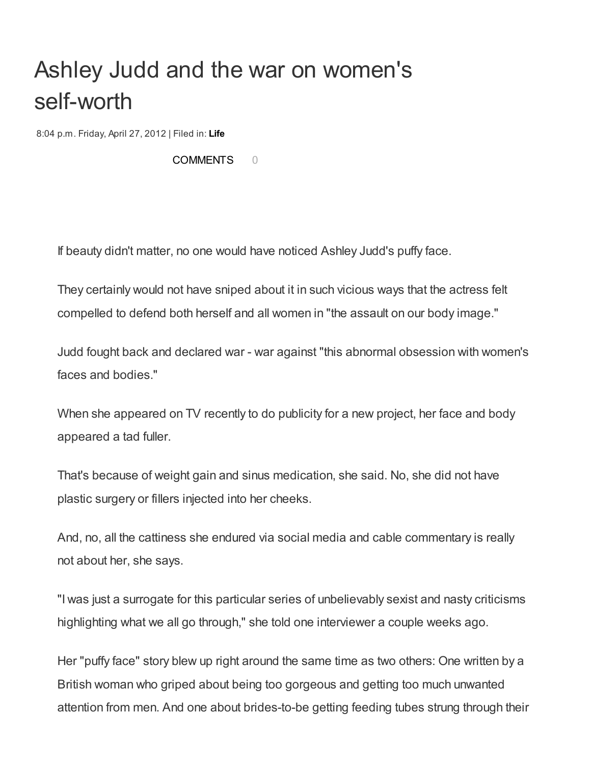## Ashley Judd and the war on women's self-worth

8:04 p.m. Friday, April 27, 2012 | Filed in: [Life](http://www.palmbeachpost.com/s/living/)

[COMMENTS](http://www.palmbeachpost.com/news/lifestyles/health/ashley-judd-and-the-war-on-womens-self-worth/nN3Sh/#) 0

If beauty didn't matter, no one would have noticed Ashley Judd's puffy face.

They certainly would not have sniped about it in such vicious ways that the actress felt compelled to defend both herself and all women in "the assault on our body image."

Judd fought back and declared war - war against "this abnormal obsession with women's faces and bodies."

When she appeared on TV recently to do publicity for a new project, her face and body appeared a tad fuller.

That's because of weight gain and sinus medication, she said. No, she did not have plastic surgery or fillers injected into her cheeks.

And, no, all the cattiness she endured via social media and cable commentary is really not about her, she says.

"I was just a surrogate for this particular series of unbelievably sexist and nasty criticisms highlighting what we all go through," she told one interviewer a couple weeks ago.

Her "puffy face" story blew up right around the same time as two others: One written by a British woman who griped about being too gorgeous and getting too much unwanted attention from men. And one about brides-to-be getting feeding tubes strung through their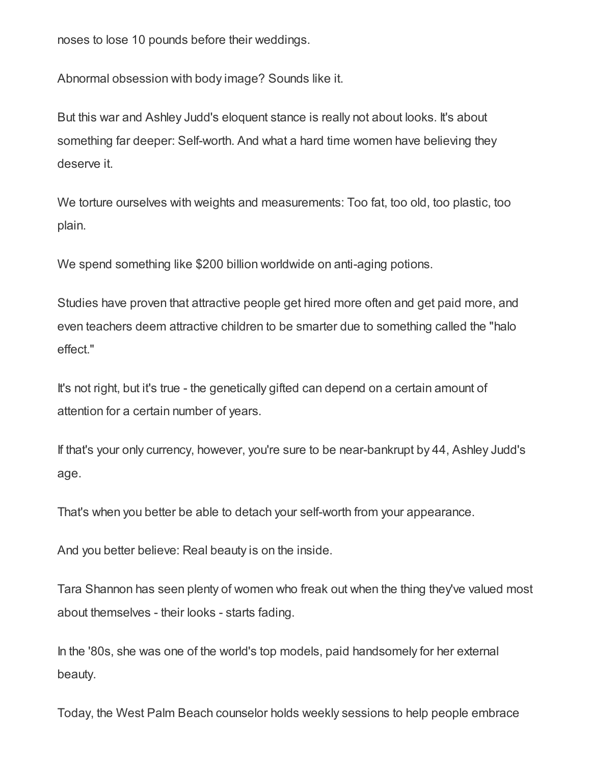noses to lose 10 pounds before their weddings.

Abnormal obsession with body image? Sounds like it.

But this war and Ashley Judd's eloquent stance is really not about looks. It's about something far deeper: Self-worth. And what a hard time women have believing they deserve it.

We torture ourselves with weights and measurements: Too fat, too old, too plastic, too plain.

We spend something like \$200 billion worldwide on anti-aging potions.

Studies have proven that attractive people get hired more often and get paid more, and even teachers deem attractive children to be smarter due to something called the "halo effect."

It's not right, but it's true - the genetically gifted can depend on a certain amount of attention for a certain number of years.

If that's your only currency, however, you're sure to be near-bankrupt by 44, Ashley Judd's age.

That's when you better be able to detach your self-worth from your appearance.

And you better believe: Real beauty is on the inside.

Tara Shannon has seen plenty of women who freak out when the thing they've valued most about themselves - their looks - starts fading.

In the '80s, she was one of the world's top models, paid handsomely for her external beauty.

Today, the West Palm Beach counselor holds weekly sessions to help people embrace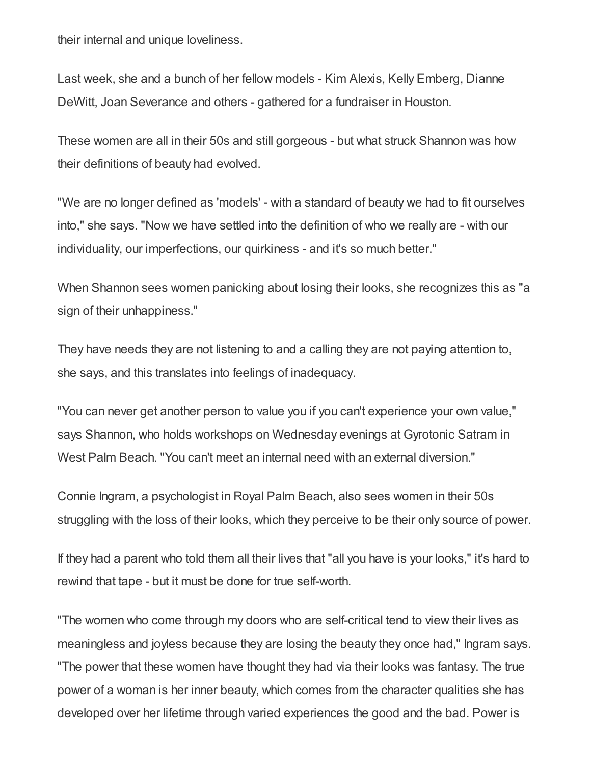their internal and unique loveliness.

Last week, she and a bunch of her fellow models - Kim Alexis, Kelly Emberg, Dianne DeWitt, Joan Severance and others - gathered for a fundraiser in Houston.

These women are all in their 50s and still gorgeous - but what struck Shannon was how their definitions of beauty had evolved.

"We are no longer defined as 'models' - with a standard of beauty we had to fit ourselves into," she says. "Now we have settled into the definition of who we really are - with our individuality, our imperfections, our quirkiness - and it's so much better."

When Shannon sees women panicking about losing their looks, she recognizes this as "a sign of their unhappiness."

They have needs they are not listening to and a calling they are not paying attention to, she says, and this translates into feelings of inadequacy.

"You can never get another person to value you if you can't experience your own value," says Shannon, who holds workshops on Wednesday evenings at Gyrotonic Satram in West Palm Beach. "You can't meet an internal need with an external diversion."

Connie Ingram, a psychologist in Royal Palm Beach, also sees women in their 50s struggling with the loss of their looks, which they perceive to be their only source of power.

If they had a parent who told them all their lives that "all you have is your looks," it's hard to rewind that tape - but it must be done for true self-worth.

"The women who come through my doors who are self-critical tend to view their lives as meaningless and joyless because they are losing the beauty they once had," Ingram says. "The power that these women have thought they had via their looks was fantasy. The true power of a woman is her inner beauty, which comes from the character qualities she has developed over her lifetime through varied experiences the good and the bad. Power is